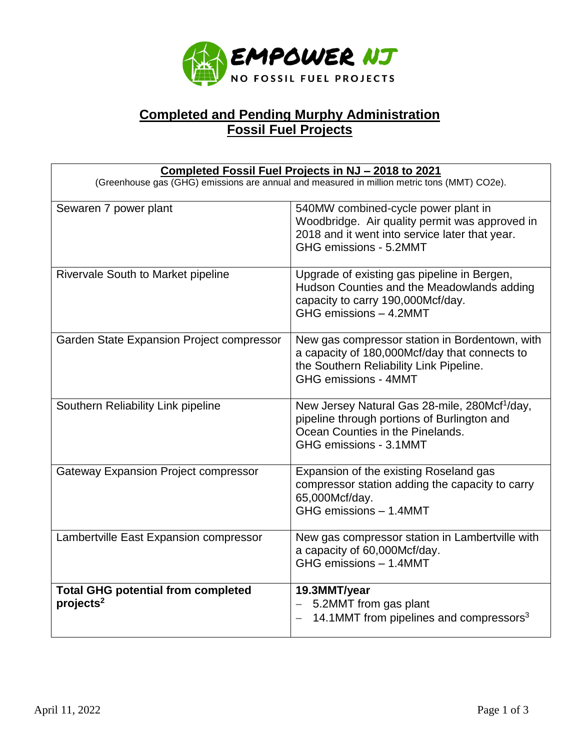

## **Completed and Pending Murphy Administration Fossil Fuel Projects**

| Completed Fossil Fuel Projects in NJ - 2018 to 2021<br>(Greenhouse gas (GHG) emissions are annual and measured in million metric tons (MMT) CO2e). |                                                                                                                                                                           |
|----------------------------------------------------------------------------------------------------------------------------------------------------|---------------------------------------------------------------------------------------------------------------------------------------------------------------------------|
| Sewaren 7 power plant                                                                                                                              | 540MW combined-cycle power plant in<br>Woodbridge. Air quality permit was approved in<br>2018 and it went into service later that year.<br>GHG emissions - 5.2MMT         |
| Rivervale South to Market pipeline                                                                                                                 | Upgrade of existing gas pipeline in Bergen,<br>Hudson Counties and the Meadowlands adding<br>capacity to carry 190,000Mcf/day.<br>GHG emissions - 4.2MMT                  |
| Garden State Expansion Project compressor                                                                                                          | New gas compressor station in Bordentown, with<br>a capacity of 180,000Mcf/day that connects to<br>the Southern Reliability Link Pipeline.<br><b>GHG emissions - 4MMT</b> |
| Southern Reliability Link pipeline                                                                                                                 | New Jersey Natural Gas 28-mile, 280Mcf <sup>1</sup> /day,<br>pipeline through portions of Burlington and<br>Ocean Counties in the Pinelands.<br>GHG emissions - 3.1MMT    |
| <b>Gateway Expansion Project compressor</b>                                                                                                        | Expansion of the existing Roseland gas<br>compressor station adding the capacity to carry<br>65,000Mcf/day.<br>GHG emissions - 1.4MMT                                     |
| Lambertville East Expansion compressor                                                                                                             | New gas compressor station in Lambertville with<br>a capacity of 60,000Mcf/day.<br>GHG emissions - 1.4MMT                                                                 |
| <b>Total GHG potential from completed</b><br>projects <sup>2</sup>                                                                                 | 19.3MMT/year<br>5.2MMT from gas plant<br>14.1MMT from pipelines and compressors <sup>3</sup>                                                                              |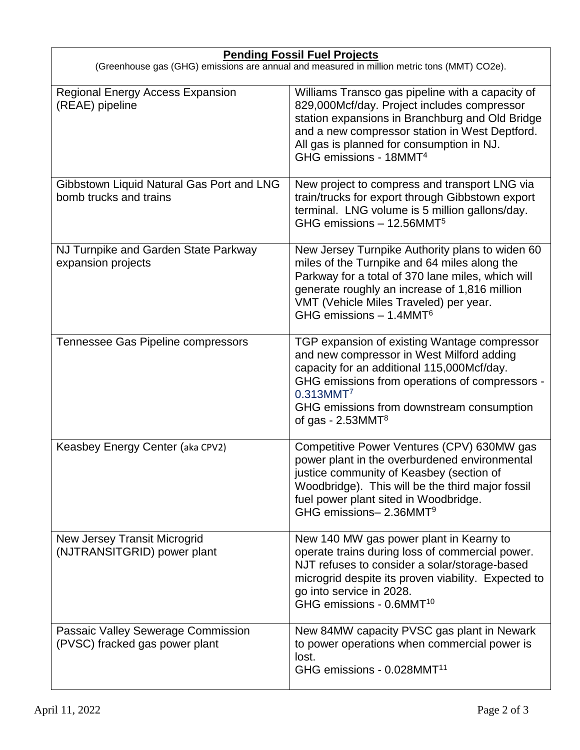| <b>Pending Fossil Fuel Projects</b><br>(Greenhouse gas (GHG) emissions are annual and measured in million metric tons (MMT) CO2e). |                                                                                                                                                                                                                                                                                          |
|------------------------------------------------------------------------------------------------------------------------------------|------------------------------------------------------------------------------------------------------------------------------------------------------------------------------------------------------------------------------------------------------------------------------------------|
| <b>Regional Energy Access Expansion</b><br>(REAE) pipeline                                                                         | Williams Transco gas pipeline with a capacity of<br>829,000Mcf/day. Project includes compressor<br>station expansions in Branchburg and Old Bridge<br>and a new compressor station in West Deptford.<br>All gas is planned for consumption in NJ.<br>GHG emissions - 18MMT <sup>4</sup>  |
| Gibbstown Liquid Natural Gas Port and LNG<br>bomb trucks and trains                                                                | New project to compress and transport LNG via<br>train/trucks for export through Gibbstown export<br>terminal. LNG volume is 5 million gallons/day.<br>GHG emissions - 12.56MMT <sup>5</sup>                                                                                             |
| NJ Turnpike and Garden State Parkway<br>expansion projects                                                                         | New Jersey Turnpike Authority plans to widen 60<br>miles of the Turnpike and 64 miles along the<br>Parkway for a total of 370 lane miles, which will<br>generate roughly an increase of 1,816 million<br>VMT (Vehicle Miles Traveled) per year.<br>GHG emissions $-1.4$ MMT <sup>6</sup> |
| Tennessee Gas Pipeline compressors                                                                                                 | TGP expansion of existing Wantage compressor<br>and new compressor in West Milford adding<br>capacity for an additional 115,000Mcf/day.<br>GHG emissions from operations of compressors -<br>0.313MMT7<br>GHG emissions from downstream consumption<br>of gas - $2.53$ MMT <sup>8</sup>  |
| Keasbey Energy Center (aka CPV2)                                                                                                   | Competitive Power Ventures (CPV) 630MW gas<br>power plant in the overburdened environmental<br>justice community of Keasbey (section of<br>Woodbridge). This will be the third major fossil<br>fuel power plant sited in Woodbridge.<br>GHG emissions- 2.36MMT <sup>9</sup>              |
| <b>New Jersey Transit Microgrid</b><br>(NJTRANSITGRID) power plant                                                                 | New 140 MW gas power plant in Kearny to<br>operate trains during loss of commercial power.<br>NJT refuses to consider a solar/storage-based<br>microgrid despite its proven viability. Expected to<br>go into service in 2028.<br>GHG emissions - 0.6MMT <sup>10</sup>                   |
| Passaic Valley Sewerage Commission<br>(PVSC) fracked gas power plant                                                               | New 84MW capacity PVSC gas plant in Newark<br>to power operations when commercial power is<br>lost.<br>GHG emissions - 0.028MMT <sup>11</sup>                                                                                                                                            |